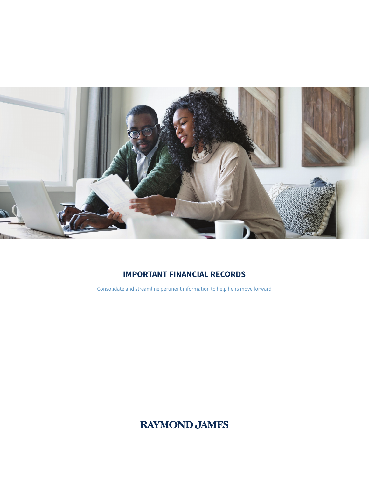

# **IMPORTANT FINANCIAL RECORDS**

Consolidate and streamline pertinent information to help heirs move forward

# **RAYMOND JAMES**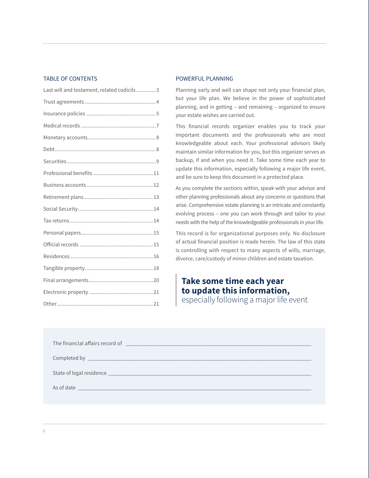#### TABLE OF CONTENTS

| Last will and testament, related codicils3 |
|--------------------------------------------|
|                                            |
|                                            |
|                                            |
|                                            |
|                                            |
|                                            |
|                                            |
|                                            |
|                                            |
|                                            |
|                                            |
|                                            |
|                                            |
|                                            |
|                                            |
|                                            |
|                                            |
|                                            |

#### POWERFUL PLANNING

Planning early and well can shape not only your financial plan, but your life plan. We believe in the power of sophisticated planning, and in getting – and remaining – organized to ensure your estate wishes are carried out.

This financial records organizer enables you to track your important documents and the professionals who are most knowledgeable about each. Your professional advisors likely maintain similar information for you, but this organizer serves as backup, if and when you need it. Take some time each year to update this information, especially following a major life event, and be sure to keep this document in a protected place.

As you complete the sections within, speak with your advisor and other planning professionals about any concerns or questions that arise. Comprehensive estate planning is an intricate and constantly evolving process – one you can work through and tailor to your needs with the help of the knowledgeable professionals in your life.

This record is for organizational purposes only. No disclosure of actual financial position is made herein. The law of this state is controlling with respect to many aspects of wills, marriage, divorce, care/custody of minor children and estate taxation.

## **Take some time each year to update this information,** especially following a major life event

| The financial affairs record of <b>contract the contract of the contract of the contract of the contract of the contract of the contract of the contract of the contract of the contract of the contract of the contract of the </b> |  |  |
|--------------------------------------------------------------------------------------------------------------------------------------------------------------------------------------------------------------------------------------|--|--|
|                                                                                                                                                                                                                                      |  |  |
|                                                                                                                                                                                                                                      |  |  |
|                                                                                                                                                                                                                                      |  |  |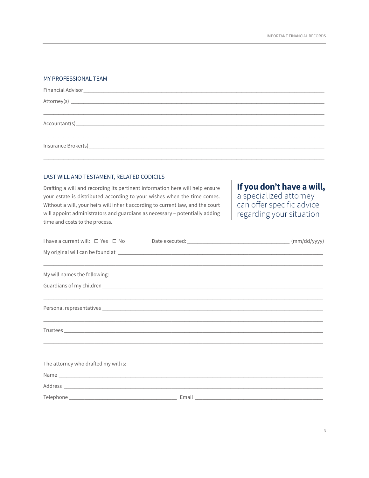#### MY PROFESSIONAL TEAM

#### LAST WILL AND TESTAMENT, RELATED CODICILS

Drafting a will and recording its pertinent information here will help ensure your estate is distributed according to your wishes when the time comes. Without a will, your heirs will inherit according to current law, and the court will appoint administrators and guardians as necessary - potentially adding time and costs to the process.

If you don't have a will,

a specialized attorney<br>can offer specific advice regarding your situation

|                                      | My original will can be found at electron and the state of the state of the state of the state of the state of                                                        |  |
|--------------------------------------|-----------------------------------------------------------------------------------------------------------------------------------------------------------------------|--|
| My will names the following:         | <u>. In the second second second second second second second second second second second second second second second</u>                                              |  |
|                                      |                                                                                                                                                                       |  |
|                                      | <u> 1999 - Johann John Stoff, amerikan besteckte besteckte besteckte besteckte besteckte besteckte besteckte best</u>                                                 |  |
|                                      | ,我们也不会有什么?""我们的人,我们也不会有什么?""我们的人,我们也不会有什么?""我们的人,我们也不会有什么?""我们的人,我们也不会有什么?""我们的人<br>,我们也不能会有什么?""我们的人,我们也不能会有什么?""我们的人,我们也不能会有什么?""我们的人,我们也不能会有什么?""我们的人,我们也不能会有什么?"" |  |
| The attorney who drafted my will is: | <u> 1990 - Johann John Stoff, amerikan bestein besteht aus dem Berlingen aus dem Berlingen aus der Berlingen aus</u>                                                  |  |
|                                      |                                                                                                                                                                       |  |
|                                      |                                                                                                                                                                       |  |
|                                      |                                                                                                                                                                       |  |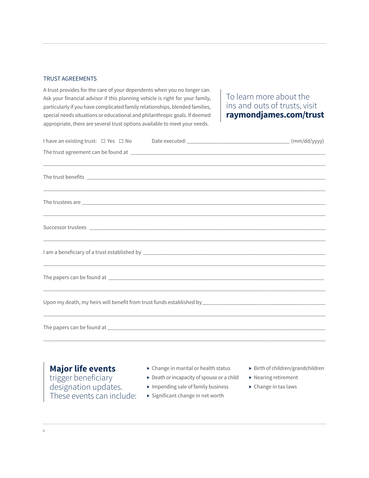#### TRUST AGREEMENTS

A trust provides for the care of your dependents when you no longer can. Ask your financial advisor if this planning vehicle is right for your family, particularly if you have complicated family relationships, blended families, special needs situations or educational and philanthropic goals. If deemed appropriate, there are several trust options available to meet your needs.

### To learn more about the ins and outs of trusts, visit **raymondjames.com/trust**

| ,我们也不会有什么。""我们的人,我们也不会有什么?""我们的人,我们也不会有什么?""我们的人,我们也不会有什么?""我们的人,我们也不会有什么?""我们的人                                      |  |  |
|-----------------------------------------------------------------------------------------------------------------------|--|--|
|                                                                                                                       |  |  |
|                                                                                                                       |  |  |
|                                                                                                                       |  |  |
| ,我们也不会有什么。""我们的人,我们也不会有什么?""我们的人,我们也不会有什么?""我们的人,我们也不会有什么?""我们的人,我们也不会有什么?""我们的人                                      |  |  |
|                                                                                                                       |  |  |
| ,我们也不会有什么。""我们的人,我们也不会有什么?""我们的人,我们也不会有什么?""我们的人,我们也不会有什么?""我们的人,我们也不会有什么?""我们的人                                      |  |  |
|                                                                                                                       |  |  |
| <u> 1989 - Johann Harry Harry Harry Harry Harry Harry Harry Harry Harry Harry Harry Harry Harry Harry Harry Harry</u> |  |  |
|                                                                                                                       |  |  |
|                                                                                                                       |  |  |
| Upon my death, my heirs will benefit from trust funds established by [19] [20] [20] [20] [20] [20] [20] [20] [        |  |  |
| ,我们也不会有什么。""我们的人,我们也不会有什么?""我们的人,我们也不会有什么?""我们的人,我们也不会有什么?""我们的人,我们也不会有什么?""我们的人                                      |  |  |
|                                                                                                                       |  |  |
|                                                                                                                       |  |  |

### **Major life events**

trigger beneficiary designation updates. These events can include:

- ▶ Change in marital or health status
- ▶ Death or incapacity of spouse or a child
- ▶ Impending sale of family business
- ▶ Significant change in net worth
- ▶ Birth of children/grandchildren
- ▶ Nearing retirement
- ▶ Change in tax laws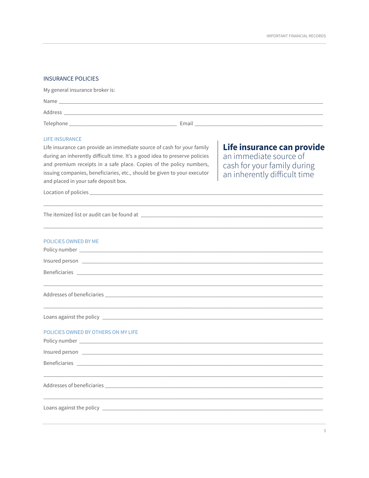#### **INSURANCE POLICIES**

| My general insurance broker is:                                        |       |
|------------------------------------------------------------------------|-------|
|                                                                        |       |
|                                                                        |       |
| Telephone<br><u> 1989 - John Stein, Amerikaansk politiker (* 1989)</u> | Email |

#### **LIFE INSURANCE**

Life insurance can provide an immediate source of cash for your family during an inherently difficult time. It's a good idea to preserve policies and premium receipts in a safe place. Copies of the policy numbers, issuing companies, beneficiaries, etc., should be given to your executor and placed in your safe deposit box.

Life insurance can provide an immediate source of cash for your family during<br>an inherently difficult time

Location of policies\_

The itemized list or audit can be found at \_

| <b>POLICIES OWNED BY ME</b>                                                                                                                                                                                                          |
|--------------------------------------------------------------------------------------------------------------------------------------------------------------------------------------------------------------------------------------|
| Insured person <u>example and the contract of the set of the set of the set of the set of the set of the set of the set of the set of the set of the set of the set of the set of the set of the set of the set of the set of th</u> |
|                                                                                                                                                                                                                                      |
|                                                                                                                                                                                                                                      |
|                                                                                                                                                                                                                                      |
| ,我们也不会有什么?""我们的人,我们也不会有什么?""我们的人,我们也不会有什么?""我们的人,我们也不会有什么?""我们的人,我们也不会有什么?""我们的人                                                                                                                                                     |
|                                                                                                                                                                                                                                      |
| POLICIES OWNED BY OTHERS ON MY LIFE                                                                                                                                                                                                  |
|                                                                                                                                                                                                                                      |
| Beneficiaries experience and the set of the set of the set of the set of the set of the set of the set of the set of the set of the set of the set of the set of the set of the set of the set of the set of the set of the se       |
| ,我们也不会有什么?""我们的人,我们也不会有什么?""我们的人,我们也不会有什么?""我们的人,我们也不会有什么?""我们的人,我们也不会有什么?""我们的人                                                                                                                                                     |
|                                                                                                                                                                                                                                      |
|                                                                                                                                                                                                                                      |
|                                                                                                                                                                                                                                      |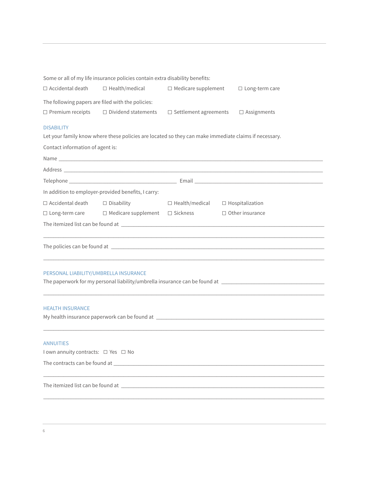|                                                         | Some or all of my life insurance policies contain extra disability benefits:                                                                                                                                                   |                                              |                        |
|---------------------------------------------------------|--------------------------------------------------------------------------------------------------------------------------------------------------------------------------------------------------------------------------------|----------------------------------------------|------------------------|
| $\Box$ Accidental death                                 | $\Box$ Health/medical                                                                                                                                                                                                          | $\Box$ Medicare supplement                   | $\Box$ Long-term care  |
|                                                         | The following papers are filed with the policies:                                                                                                                                                                              |                                              |                        |
| $\Box$ Premium receipts                                 | $\Box$ Dividend statements                                                                                                                                                                                                     | $\Box$ Settlement agreements                 | $\square$ Assignments  |
| <b>DISABILITY</b>                                       | Let your family know where these policies are located so they can make immediate claims if necessary.                                                                                                                          |                                              |                        |
| Contact information of agent is:                        |                                                                                                                                                                                                                                |                                              |                        |
|                                                         |                                                                                                                                                                                                                                |                                              |                        |
|                                                         |                                                                                                                                                                                                                                |                                              |                        |
|                                                         |                                                                                                                                                                                                                                |                                              |                        |
|                                                         | In addition to employer-provided benefits, I carry:                                                                                                                                                                            |                                              |                        |
| $\Box$ Accidental death                                 | $\Box$ Disability                                                                                                                                                                                                              | $\Box$ Health/medical $\Box$ Hospitalization |                        |
| $\Box$ Long-term care                                   | $\Box$ Medicare supplement $\Box$ Sickness                                                                                                                                                                                     |                                              | $\Box$ Other insurance |
|                                                         |                                                                                                                                                                                                                                |                                              |                        |
|                                                         |                                                                                                                                                                                                                                |                                              |                        |
| PERSONAL LIABILITY/UMBRELLA INSURANCE                   |                                                                                                                                                                                                                                |                                              |                        |
| <b>HEALTH INSURANCE</b>                                 |                                                                                                                                                                                                                                |                                              |                        |
|                                                         |                                                                                                                                                                                                                                |                                              |                        |
| <b>ANNUITIES</b><br>I own annuity contracts: □ Yes □ No |                                                                                                                                                                                                                                |                                              |                        |
|                                                         |                                                                                                                                                                                                                                |                                              |                        |
|                                                         |                                                                                                                                                                                                                                |                                              |                        |
|                                                         | The itemized list can be found at the state of the state of the state of the state of the state of the state of the state of the state of the state of the state of the state of the state of the state of the state of the st |                                              |                        |
|                                                         |                                                                                                                                                                                                                                |                                              |                        |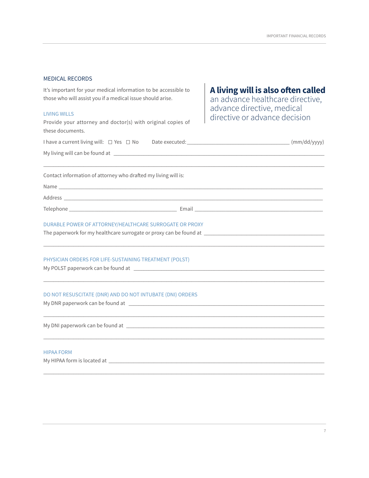#### MEDICAL RECORDS

It's important for your medical information to be accessible to those who will assist you if a medical issue should arise.

#### LIVING WILLS

Provide your attorney and doctor(s) with original copies of these documents.

# **A living will is also often called**

an advance healthcare directive, advance directive, medical directive or advance decision

| Contact information of attorney who drafted my living will is:                                       |  |
|------------------------------------------------------------------------------------------------------|--|
|                                                                                                      |  |
|                                                                                                      |  |
|                                                                                                      |  |
| DURABLE POWER OF ATTORNEY/HEALTHCARE SURROGATE OR PROXY                                              |  |
| The paperwork for my healthcare surrogate or proxy can be found at _________________________________ |  |
| PHYSICIAN ORDERS FOR LIFE-SUSTAINING TREATMENT (POLST)                                               |  |
|                                                                                                      |  |
| DO NOT RESUSCITATE (DNR) AND DO NOT INTUBATE (DNI) ORDERS                                            |  |
|                                                                                                      |  |
| <b>HIPAA FORM</b>                                                                                    |  |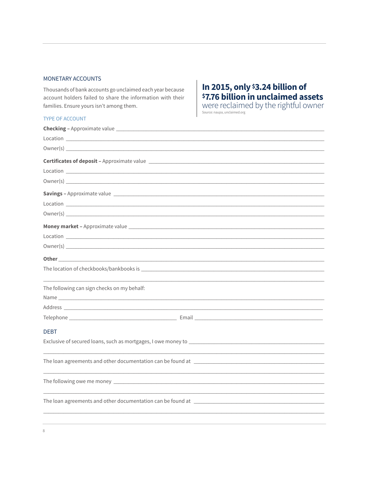#### MONETARY ACCOUNTS

Thousands of bank accounts go unclaimed each year because account holders failed to share the information with their families. Ensure yours isn't among them.

#### TYPE OF ACCOUNT

 $\,$  8  $\,$ 

# In 2015, only \$3.24 billion of<br>\$7.76 billion in unclaimed assets

Were reclaimed by the rightful owner

| Owner(s) <u>contains a series of the series of the series of the series of the series of the series of the series of the series of the series of the series of the series of the series of the series of the series of the serie</u> |
|--------------------------------------------------------------------------------------------------------------------------------------------------------------------------------------------------------------------------------------|
|                                                                                                                                                                                                                                      |
|                                                                                                                                                                                                                                      |
|                                                                                                                                                                                                                                      |
| Savings - Approximate value Later and Contract and Contract and Contract and Contract and Contract and Contract and                                                                                                                  |
|                                                                                                                                                                                                                                      |
|                                                                                                                                                                                                                                      |
|                                                                                                                                                                                                                                      |
|                                                                                                                                                                                                                                      |
|                                                                                                                                                                                                                                      |
| Other contact the contact of the contact of the contact of the contact of the contact of the contact of the contact of the contact of the contact of the contact of the contact of the contact of the contact of the contact o       |
|                                                                                                                                                                                                                                      |
| The following can sign checks on my behalf:                                                                                                                                                                                          |
|                                                                                                                                                                                                                                      |
|                                                                                                                                                                                                                                      |
|                                                                                                                                                                                                                                      |
| <b>DEBT</b>                                                                                                                                                                                                                          |
|                                                                                                                                                                                                                                      |
|                                                                                                                                                                                                                                      |
|                                                                                                                                                                                                                                      |
|                                                                                                                                                                                                                                      |
|                                                                                                                                                                                                                                      |
|                                                                                                                                                                                                                                      |
|                                                                                                                                                                                                                                      |
|                                                                                                                                                                                                                                      |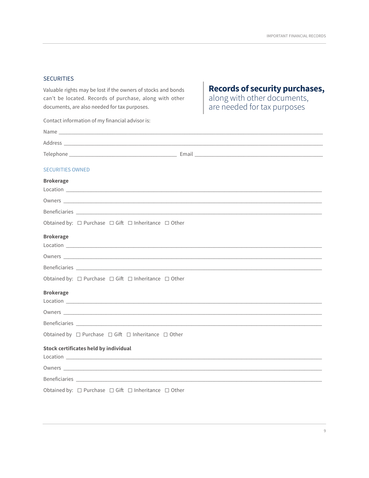#### **SECURITIES**

Valuable rights may be lost if the owners of stocks and bonds can't be located. Records of purchase, along with other documents, are also needed for tax purposes.

Contact information of my financial advisor is:

# **Records of security purchases,**<br>along with other documents,<br>are needed for tax purposes

| <b>SECURITIES OWNED</b>                                                                                                                                                                                                        |
|--------------------------------------------------------------------------------------------------------------------------------------------------------------------------------------------------------------------------------|
| <b>Brokerage</b>                                                                                                                                                                                                               |
|                                                                                                                                                                                                                                |
|                                                                                                                                                                                                                                |
|                                                                                                                                                                                                                                |
| Obtained by: $\Box$ Purchase $\Box$ Gift $\Box$ Inheritance $\Box$ Other                                                                                                                                                       |
| <b>Brokerage</b>                                                                                                                                                                                                               |
|                                                                                                                                                                                                                                |
|                                                                                                                                                                                                                                |
|                                                                                                                                                                                                                                |
| Obtained by: □ Purchase □ Gift □ Inheritance □ Other                                                                                                                                                                           |
| <b>Brokerage</b>                                                                                                                                                                                                               |
|                                                                                                                                                                                                                                |
|                                                                                                                                                                                                                                |
| Beneficiaries experiences and the second contract of the second contract of the second contract of the second contract of the second contract of the second contract of the second contract of the second contract of the seco |
| Obtained by $\Box$ Purchase $\Box$ Gift $\Box$ Inheritance $\Box$ Other                                                                                                                                                        |
| <b>Stock certificates held by individual</b>                                                                                                                                                                                   |
|                                                                                                                                                                                                                                |
|                                                                                                                                                                                                                                |
| Beneficiaries <b>Example 2018 Example 2018 Example 2018 Example 2018</b>                                                                                                                                                       |
| Obtained by: $\Box$ Purchase $\Box$ Gift $\Box$ Inheritance $\Box$ Other                                                                                                                                                       |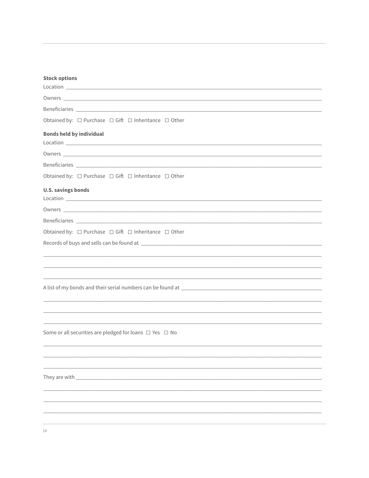| <b>Stock options</b>                                                                                                                                                                                                                 |
|--------------------------------------------------------------------------------------------------------------------------------------------------------------------------------------------------------------------------------------|
|                                                                                                                                                                                                                                      |
| Owners <b>contract the contract of the contract of the contract of the contract of the contract of the contract of the contract of the contract of the contract of the contract of the contract of the contract of the contract </b> |
|                                                                                                                                                                                                                                      |
| Obtained by: $\Box$ Purchase $\Box$ Gift $\Box$ Inheritance $\Box$ Other                                                                                                                                                             |
| <b>Bonds held by individual</b>                                                                                                                                                                                                      |
|                                                                                                                                                                                                                                      |
|                                                                                                                                                                                                                                      |
| Obtained by: $\Box$ Purchase $\Box$ Gift $\Box$ Inheritance $\Box$ Other                                                                                                                                                             |
| <b>U.S. savings bonds</b>                                                                                                                                                                                                            |
|                                                                                                                                                                                                                                      |
|                                                                                                                                                                                                                                      |
| Obtained by: $\Box$ Purchase $\Box$ Gift $\Box$ Inheritance $\Box$ Other                                                                                                                                                             |
|                                                                                                                                                                                                                                      |
|                                                                                                                                                                                                                                      |
|                                                                                                                                                                                                                                      |
|                                                                                                                                                                                                                                      |
|                                                                                                                                                                                                                                      |
|                                                                                                                                                                                                                                      |
| <u> 1989 - Johann Stoff, der stadt foar it ferste komme fan de ferste fan de ferste fan de ferste fan de ferste f</u>                                                                                                                |
|                                                                                                                                                                                                                                      |
| Some or all securities are pledged for loans $\Box$ Yes $\Box$ No                                                                                                                                                                    |
|                                                                                                                                                                                                                                      |
|                                                                                                                                                                                                                                      |
|                                                                                                                                                                                                                                      |
| They are with                                                                                                                                                                                                                        |
|                                                                                                                                                                                                                                      |
|                                                                                                                                                                                                                                      |
|                                                                                                                                                                                                                                      |

 $10\,$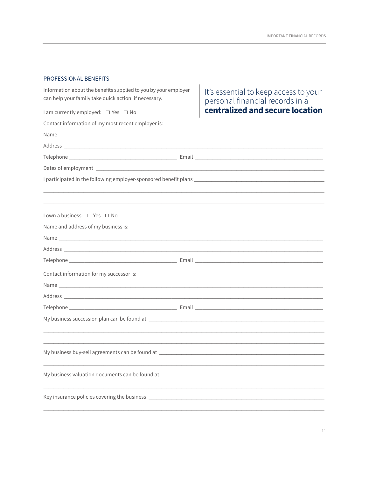#### PROFESSIONAL BENEFITS

| Information about the benefits supplied to you by your employer<br>can help your family take quick action, if necessary.<br>I am currently employed: □ Yes □ No<br>Contact information of my most recent employer is: | It's essential to keep access to your<br>personal financial records in a<br>centralized and secure location |
|-----------------------------------------------------------------------------------------------------------------------------------------------------------------------------------------------------------------------|-------------------------------------------------------------------------------------------------------------|
|                                                                                                                                                                                                                       |                                                                                                             |
|                                                                                                                                                                                                                       |                                                                                                             |
|                                                                                                                                                                                                                       |                                                                                                             |
|                                                                                                                                                                                                                       |                                                                                                             |
|                                                                                                                                                                                                                       |                                                                                                             |
| l own a business: □ Yes □ No                                                                                                                                                                                          |                                                                                                             |
| Name and address of my business is:                                                                                                                                                                                   |                                                                                                             |
|                                                                                                                                                                                                                       |                                                                                                             |
|                                                                                                                                                                                                                       |                                                                                                             |
|                                                                                                                                                                                                                       |                                                                                                             |
| Contact information for my successor is:                                                                                                                                                                              |                                                                                                             |
|                                                                                                                                                                                                                       |                                                                                                             |
|                                                                                                                                                                                                                       |                                                                                                             |
|                                                                                                                                                                                                                       |                                                                                                             |
|                                                                                                                                                                                                                       |                                                                                                             |
|                                                                                                                                                                                                                       |                                                                                                             |
| My business buy-sell agreements can be found at                                                                                                                                                                       |                                                                                                             |
| My business valuation documents can be found at _________________________________                                                                                                                                     |                                                                                                             |
|                                                                                                                                                                                                                       |                                                                                                             |
|                                                                                                                                                                                                                       |                                                                                                             |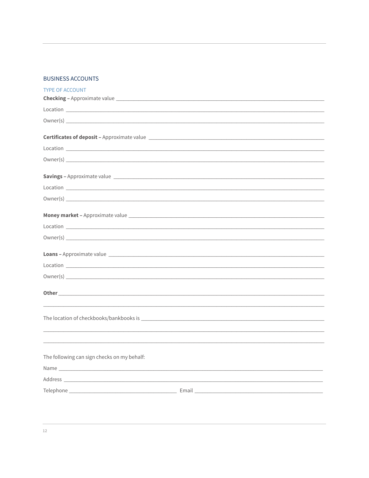#### **BUSINESS ACCOUNTS**

| <b>TYPE OF ACCOUNT</b>                      |                                                                                                                                                                                                                                      |
|---------------------------------------------|--------------------------------------------------------------------------------------------------------------------------------------------------------------------------------------------------------------------------------------|
|                                             |                                                                                                                                                                                                                                      |
|                                             |                                                                                                                                                                                                                                      |
|                                             |                                                                                                                                                                                                                                      |
|                                             |                                                                                                                                                                                                                                      |
|                                             |                                                                                                                                                                                                                                      |
|                                             |                                                                                                                                                                                                                                      |
|                                             |                                                                                                                                                                                                                                      |
|                                             | Savings - Approximate value                                                                                                                                                                                                          |
|                                             |                                                                                                                                                                                                                                      |
|                                             |                                                                                                                                                                                                                                      |
|                                             |                                                                                                                                                                                                                                      |
|                                             |                                                                                                                                                                                                                                      |
|                                             |                                                                                                                                                                                                                                      |
|                                             | Owner(s) <u>examples and the contract of the contract of the contract of the contract of the contract of the contract of the contract of the contract of the contract of the contract of the contract of the contract of the con</u> |
|                                             |                                                                                                                                                                                                                                      |
|                                             |                                                                                                                                                                                                                                      |
|                                             |                                                                                                                                                                                                                                      |
|                                             |                                                                                                                                                                                                                                      |
|                                             |                                                                                                                                                                                                                                      |
|                                             | Other contracts and contracts are all the contracts of the contracts of the contracts of the contracts of the contracts of the contracts of the contracts of the contracts of the contracts of the contracts of the contracts        |
|                                             |                                                                                                                                                                                                                                      |
|                                             |                                                                                                                                                                                                                                      |
|                                             |                                                                                                                                                                                                                                      |
|                                             | ,我们也不会有什么。""我们的人,我们也不会有什么?""我们的人,我们也不会有什么?""我们的人,我们也不会有什么?""我们的人,我们也不会有什么?""我们的人                                                                                                                                                     |
| The following can sign checks on my behalf: |                                                                                                                                                                                                                                      |
|                                             |                                                                                                                                                                                                                                      |
|                                             |                                                                                                                                                                                                                                      |
|                                             |                                                                                                                                                                                                                                      |
|                                             |                                                                                                                                                                                                                                      |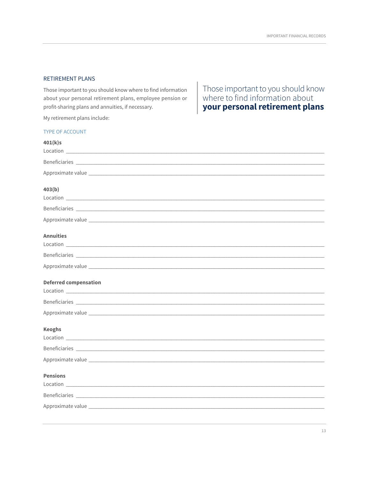#### **RETIREMENT PLANS**

Those important to you should know where to find information about your personal retirement plans, employee pension or profit-sharing plans and annuities, if necessary.

My retirement plans include:

# Those important to you should know<br>where to find information about<br>your personal retirement plans

| <b>TYPE OF ACCOUNT</b>                                                                                                                                                                                                         |
|--------------------------------------------------------------------------------------------------------------------------------------------------------------------------------------------------------------------------------|
| 401(k)s                                                                                                                                                                                                                        |
|                                                                                                                                                                                                                                |
| Beneficiaries experiences and the set of the set of the set of the set of the set of the set of the set of the                                                                                                                 |
|                                                                                                                                                                                                                                |
| 403(b)                                                                                                                                                                                                                         |
|                                                                                                                                                                                                                                |
|                                                                                                                                                                                                                                |
|                                                                                                                                                                                                                                |
| <b>Annuities</b>                                                                                                                                                                                                               |
|                                                                                                                                                                                                                                |
|                                                                                                                                                                                                                                |
|                                                                                                                                                                                                                                |
| <b>Deferred compensation</b>                                                                                                                                                                                                   |
|                                                                                                                                                                                                                                |
|                                                                                                                                                                                                                                |
| Approximate value experience and a series of the series of the series of the series of the series of the series of the series of the series of the series of the series of the series of the series of the series of the serie |
| <b>Keoghs</b>                                                                                                                                                                                                                  |
|                                                                                                                                                                                                                                |
| Beneficiaries experiences and the set of the set of the set of the set of the set of the set of the set of the                                                                                                                 |
| Approximate value                                                                                                                                                                                                              |
| <b>Pensions</b>                                                                                                                                                                                                                |
|                                                                                                                                                                                                                                |
|                                                                                                                                                                                                                                |
|                                                                                                                                                                                                                                |
|                                                                                                                                                                                                                                |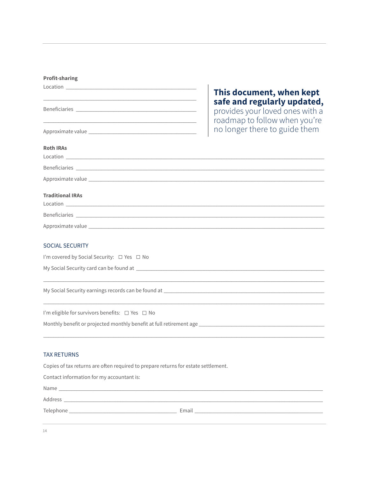#### **Profit-sharing**

| $\begin{picture}(150,10) \put(0,0){\vector(1,0){100}} \put(15,0){\vector(1,0){100}} \put(15,0){\vector(1,0){100}} \put(15,0){\vector(1,0){100}} \put(15,0){\vector(1,0){100}} \put(15,0){\vector(1,0){100}} \put(15,0){\vector(1,0){100}} \put(15,0){\vector(1,0){100}} \put(15,0){\vector(1,0){100}} \put(15,0){\vector(1,0){100}} \put(15,0){\vector(1,0){100}}$ | This document, when kept                                                                        |
|--------------------------------------------------------------------------------------------------------------------------------------------------------------------------------------------------------------------------------------------------------------------------------------------------------------------------------------------------------------------|-------------------------------------------------------------------------------------------------|
|                                                                                                                                                                                                                                                                                                                                                                    | safe and regularly updated,<br>provides your loved ones with a<br>roadmap to follow when you're |
|                                                                                                                                                                                                                                                                                                                                                                    | no longer there to guide them                                                                   |
| <b>Roth IRAs</b>                                                                                                                                                                                                                                                                                                                                                   |                                                                                                 |
|                                                                                                                                                                                                                                                                                                                                                                    |                                                                                                 |
|                                                                                                                                                                                                                                                                                                                                                                    |                                                                                                 |
|                                                                                                                                                                                                                                                                                                                                                                    |                                                                                                 |
| <b>Traditional IRAs</b>                                                                                                                                                                                                                                                                                                                                            |                                                                                                 |
| Location <b>Executive Contract Contract Contract Contract Contract Contract Contract Contract Contract Contract Contract Contract Contract Contract Contract Contract Contract Contract Contract Contract Contract Contract Cont</b>                                                                                                                               |                                                                                                 |
|                                                                                                                                                                                                                                                                                                                                                                    |                                                                                                 |
|                                                                                                                                                                                                                                                                                                                                                                    |                                                                                                 |
| <b>SOCIAL SECURITY</b>                                                                                                                                                                                                                                                                                                                                             |                                                                                                 |
| I'm covered by Social Security: □ Yes □ No                                                                                                                                                                                                                                                                                                                         |                                                                                                 |
|                                                                                                                                                                                                                                                                                                                                                                    |                                                                                                 |
|                                                                                                                                                                                                                                                                                                                                                                    |                                                                                                 |
|                                                                                                                                                                                                                                                                                                                                                                    |                                                                                                 |
|                                                                                                                                                                                                                                                                                                                                                                    |                                                                                                 |
| I'm eligible for survivors benefits: □ Yes □ No                                                                                                                                                                                                                                                                                                                    |                                                                                                 |

#### **TAX RETURNS**

Copies of tax returns are often required to prepare returns for estate settlement.

| Contact information for my accountant is:                                                                                                                                                                                     |                                                                                                                                                                                                                                      |
|-------------------------------------------------------------------------------------------------------------------------------------------------------------------------------------------------------------------------------|--------------------------------------------------------------------------------------------------------------------------------------------------------------------------------------------------------------------------------------|
|                                                                                                                                                                                                                               |                                                                                                                                                                                                                                      |
|                                                                                                                                                                                                                               |                                                                                                                                                                                                                                      |
| Telephone and the contract of the contract of the contract of the contract of the contract of the contract of the contract of the contract of the contract of the contract of the contract of the contract of the contract of | Email <b>Executive Contract Contract Contract Contract Contract Contract Contract Contract Contract Contract Contract Contract Contract Contract Contract Contract Contract Contract Contract Contract Contract Contract Contrac</b> |
|                                                                                                                                                                                                                               |                                                                                                                                                                                                                                      |

 $14^{\circ}$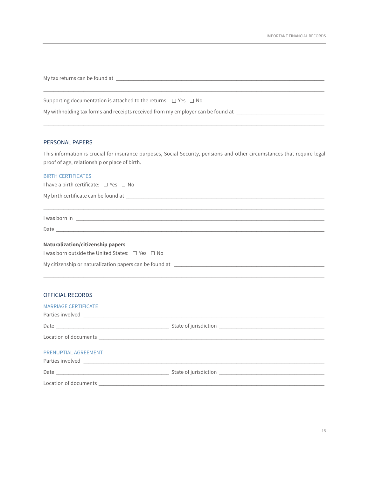My tax returns can be found at \_\_\_\_\_\_\_\_\_\_\_\_\_\_\_\_\_\_\_\_\_\_\_\_\_\_\_\_\_\_\_\_\_\_\_\_\_\_\_\_\_\_\_\_\_\_\_\_\_\_\_\_\_\_\_\_\_\_\_\_\_\_\_\_\_\_\_\_\_\_\_\_\_\_\_\_\_\_\_\_\_\_\_

Supporting documentation is attached to the returns:  $\Box$  Yes  $\Box$  No

My withholding tax forms and receipts received from my employer can be found at \_\_\_\_\_\_\_\_\_\_\_\_\_\_\_\_\_\_\_\_\_\_\_\_\_\_\_\_\_\_

#### PERSONAL PAPERS

This information is crucial for insurance purposes, Social Security, pensions and other circumstances that require legal proof of age, relationship or place of birth.

\_\_\_\_\_\_\_\_\_\_\_\_\_\_\_\_\_\_\_\_\_\_\_\_\_\_\_\_\_\_\_\_\_\_\_\_\_\_\_\_\_\_\_\_\_\_\_\_\_\_\_\_\_\_\_\_\_\_\_\_\_\_\_\_\_\_\_\_\_\_\_\_\_\_\_\_\_\_\_\_\_\_\_\_\_\_\_\_\_\_\_\_\_\_\_\_\_\_\_\_\_\_\_\_\_\_\_\_\_\_\_\_

\_\_\_\_\_\_\_\_\_\_\_\_\_\_\_\_\_\_\_\_\_\_\_\_\_\_\_\_\_\_\_\_\_\_\_\_\_\_\_\_\_\_\_\_\_\_\_\_\_\_\_\_\_\_\_\_\_\_\_\_\_\_\_\_\_\_\_\_\_\_\_\_\_\_\_\_\_\_\_\_\_\_\_\_\_\_\_\_\_\_\_\_\_\_\_\_\_\_\_\_\_\_\_\_\_\_\_\_\_\_\_\_

#### BIRTH CERTIFICATES

I have a birth certificate:  $\Box$  Yes  $\Box$  No

My birth certificate can be found at \_\_\_\_\_\_\_\_\_\_\_\_\_\_\_\_\_\_\_\_\_\_\_\_\_\_\_\_\_\_\_\_\_\_\_\_\_\_\_\_\_\_\_\_\_\_\_\_\_\_\_\_\_\_\_\_\_\_\_\_\_\_\_\_\_\_\_\_\_\_\_\_\_\_\_\_\_\_\_

\_\_\_\_\_\_\_\_\_\_\_\_\_\_\_\_\_\_\_\_\_\_\_\_\_\_\_\_\_\_\_\_\_\_\_\_\_\_\_\_\_\_\_\_\_\_\_\_\_\_\_\_\_\_\_\_\_\_\_\_\_\_\_\_\_\_\_\_\_\_\_\_\_\_\_\_\_\_\_\_\_\_\_\_\_\_\_\_\_\_\_\_\_\_\_\_\_\_\_\_\_\_\_\_\_\_\_\_\_\_\_\_ I was born in \_\_\_\_\_\_\_\_\_\_\_\_\_\_\_\_\_\_\_\_\_\_\_\_\_\_\_\_\_\_\_\_\_\_\_\_\_\_\_\_\_\_\_\_\_\_\_\_\_\_\_\_\_\_\_\_\_\_\_\_\_\_\_\_\_\_\_\_\_\_\_\_\_\_\_\_\_\_\_\_\_\_\_\_\_\_\_\_\_\_\_\_\_\_\_\_\_\_\_

\_\_\_\_\_\_\_\_\_\_\_\_\_\_\_\_\_\_\_\_\_\_\_\_\_\_\_\_\_\_\_\_\_\_\_\_\_\_\_\_\_\_\_\_\_\_\_\_\_\_\_\_\_\_\_\_\_\_\_\_\_\_\_\_\_\_\_\_\_\_\_\_\_\_\_\_\_\_\_\_\_\_\_\_\_\_\_\_\_\_\_\_\_\_\_\_\_\_\_\_\_\_\_\_\_\_\_\_\_\_\_\_

Date \_\_\_\_\_\_\_\_\_\_\_\_\_\_\_\_\_\_\_\_\_\_\_\_\_\_\_\_\_\_\_\_\_\_\_\_\_\_\_\_\_\_\_\_\_\_\_\_\_\_\_\_\_\_\_\_\_\_\_\_\_\_\_\_\_\_\_\_\_\_\_\_\_\_\_\_\_\_\_\_\_\_\_\_\_\_\_\_\_\_\_\_\_\_\_\_\_\_\_\_\_\_\_\_\_\_\_

#### **Naturalization/citizenship papers**

I was born outside the United States:  $\Box$  Yes  $\Box$  No

My citizenship or naturalization papers can be found at \_\_\_\_\_\_\_\_\_\_\_\_\_\_\_\_\_\_\_\_\_\_\_\_\_\_\_\_\_\_\_\_\_\_\_\_\_\_\_\_\_\_\_\_\_\_\_\_\_\_\_\_\_\_\_\_\_\_\_\_

#### OFFICIAL RECORDS

| <b>MARRIAGE CERTIFICATE</b> |  |
|-----------------------------|--|
|                             |  |
|                             |  |
|                             |  |
| PRENUPTIAL AGREEMENT        |  |
|                             |  |
|                             |  |
|                             |  |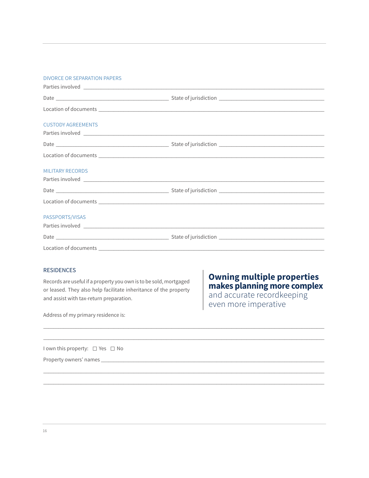#### **DIVORCE OR SEPARATION PAPERS**

| <b>CUSTODY AGREEMENTS</b> |  |
|---------------------------|--|
|                           |  |
|                           |  |
| <b>MILITARY RECORDS</b>   |  |
|                           |  |
|                           |  |
| PASSPORTS/VISAS           |  |
|                           |  |
|                           |  |

#### **RESIDENCES**

Records are useful if a property you own is to be sold, mortgaged or leased. They also help facilitate inheritance of the property and assist with tax-return preparation.

# **Owning multiple properties** makes planning more complex and accurate recordkeeping

even more imperative

Address of my primary residence is:

I own this property: □ Yes □ No

Property owners' names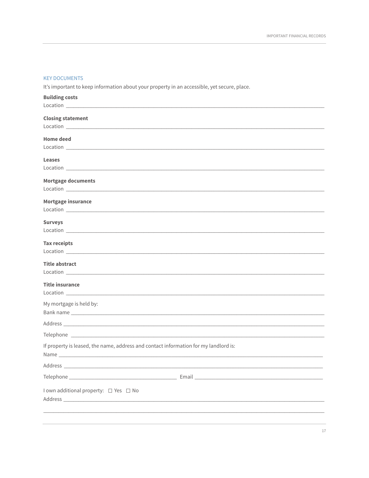#### **KEY DOCUMENTS**

It's important to keep information about your property in an accessible, yet secure, place.

| <b>Building costs</b>                                                                                                                                                                                                                |  |
|--------------------------------------------------------------------------------------------------------------------------------------------------------------------------------------------------------------------------------------|--|
|                                                                                                                                                                                                                                      |  |
| <b>Closing statement</b>                                                                                                                                                                                                             |  |
|                                                                                                                                                                                                                                      |  |
| <b>Home deed</b>                                                                                                                                                                                                                     |  |
|                                                                                                                                                                                                                                      |  |
| <b>Leases</b>                                                                                                                                                                                                                        |  |
|                                                                                                                                                                                                                                      |  |
| <b>Mortgage documents</b>                                                                                                                                                                                                            |  |
|                                                                                                                                                                                                                                      |  |
| Mortgage insurance                                                                                                                                                                                                                   |  |
|                                                                                                                                                                                                                                      |  |
| <b>Surveys</b>                                                                                                                                                                                                                       |  |
|                                                                                                                                                                                                                                      |  |
| Tax receipts                                                                                                                                                                                                                         |  |
|                                                                                                                                                                                                                                      |  |
| <b>Title abstract</b>                                                                                                                                                                                                                |  |
| Location <b>Executive Contract Contract Contract Contract Contract Contract Contract Contract Contract Contract Contract Contract Contract Contract Contract Contract Contract Contract Contract Contract Contract Contract Cont</b> |  |
| <b>Title insurance</b>                                                                                                                                                                                                               |  |
|                                                                                                                                                                                                                                      |  |
| My mortgage is held by:                                                                                                                                                                                                              |  |
|                                                                                                                                                                                                                                      |  |
|                                                                                                                                                                                                                                      |  |
|                                                                                                                                                                                                                                      |  |
| If property is leased, the name, address and contact information for my landlord is:                                                                                                                                                 |  |
| Name and the contract of the contract of the contract of the contract of the contract of the contract of the contract of the contract of the contract of the contract of the contract of the contract of the contract of the c       |  |
|                                                                                                                                                                                                                                      |  |
|                                                                                                                                                                                                                                      |  |
| I own additional property: □ Yes □ No                                                                                                                                                                                                |  |
|                                                                                                                                                                                                                                      |  |
|                                                                                                                                                                                                                                      |  |
|                                                                                                                                                                                                                                      |  |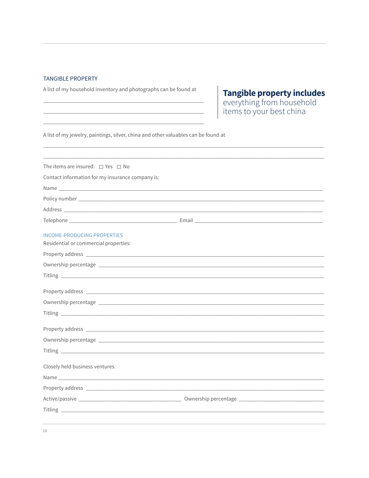#### **TANGIBLE PROPERTY**

A list of my household inventory and photographs can be found at

**Tangible property includes**<br>everything from household<br>items to your best china

A list of my jewelry, paintings, silver, china and other valuables can be found at

| The items are insured: $\Box$ Yes $\Box$ No                                 |  |
|-----------------------------------------------------------------------------|--|
| Contact information for my insurance company is:                            |  |
|                                                                             |  |
|                                                                             |  |
|                                                                             |  |
|                                                                             |  |
| <b>INCOME-PRODUCING PROPERTIES</b><br>Residential or commercial properties: |  |
|                                                                             |  |
|                                                                             |  |
|                                                                             |  |
|                                                                             |  |
|                                                                             |  |
|                                                                             |  |
|                                                                             |  |
|                                                                             |  |
|                                                                             |  |
| Closely held business ventures:                                             |  |
|                                                                             |  |
|                                                                             |  |
|                                                                             |  |
|                                                                             |  |
|                                                                             |  |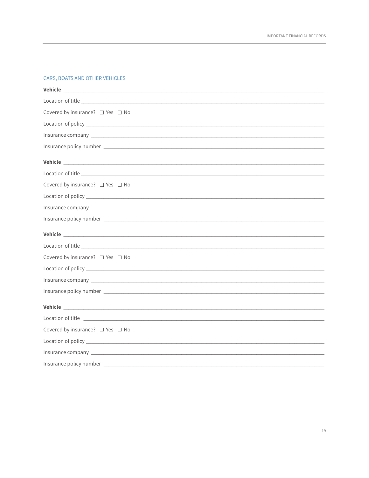#### CARS, BOATS AND OTHER VEHICLES

| Covered by insurance? □ Yes □ No                                                                                                                                                                                                     |
|--------------------------------------------------------------------------------------------------------------------------------------------------------------------------------------------------------------------------------------|
|                                                                                                                                                                                                                                      |
|                                                                                                                                                                                                                                      |
|                                                                                                                                                                                                                                      |
| Vehicle experience and the contract of the contract of the contract of the contract of the contract of the contract of the contract of the contract of the contract of the contract of the contract of the contract of the con       |
|                                                                                                                                                                                                                                      |
| Covered by insurance? □ Yes □ No                                                                                                                                                                                                     |
|                                                                                                                                                                                                                                      |
|                                                                                                                                                                                                                                      |
|                                                                                                                                                                                                                                      |
| Vehicle <b>Management of the Community of the Community of the Community of the Community</b>                                                                                                                                        |
|                                                                                                                                                                                                                                      |
| Covered by insurance? □ Yes □ No                                                                                                                                                                                                     |
|                                                                                                                                                                                                                                      |
| Insurance company experience of the contract of the contract of the contract of the contract of the contract of the contract of the contract of the contract of the contract of the contract of the contract of the contract o       |
|                                                                                                                                                                                                                                      |
| Vehicle experience and the contract of the contract of the contract of the contract of the contract of the contract of the contract of the contract of the contract of the contract of the contract of the contract of the con       |
| Location of title <u>experience and the set of the set of the set of the set of the set of the set of the set of the set of the set of the set of the set of the set of the set of the set of the set of the set of the set of t</u> |
| Covered by insurance? □ Yes □ No                                                                                                                                                                                                     |
|                                                                                                                                                                                                                                      |
|                                                                                                                                                                                                                                      |
|                                                                                                                                                                                                                                      |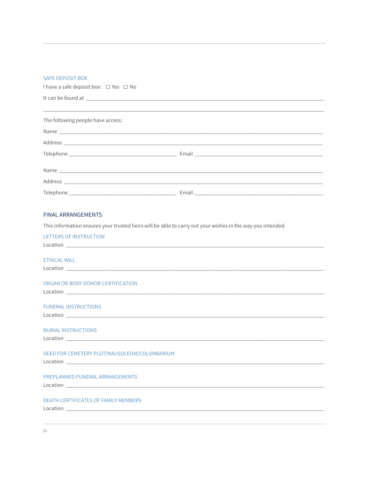#### SAFE DEPOSIT BOX

I have a safe deposit box: □ Yes □ No

| The following people have access: |  |
|-----------------------------------|--|
|                                   |  |
|                                   |  |
|                                   |  |
|                                   |  |
|                                   |  |
|                                   |  |

#### **FINAL ARRANGEMENTS**

This information ensures your trusted heirs will be able to carry out your wishes in the way you intended.

| <b>TETTERS OF INSTRUCTION</b>                |
|----------------------------------------------|
|                                              |
|                                              |
| <b>ETHICAL WILL</b>                          |
|                                              |
|                                              |
|                                              |
| ORGAN OR BODY DONOR CERTIFICATION            |
|                                              |
|                                              |
| <b>FUNERAL INSTRUCTIONS</b>                  |
|                                              |
|                                              |
|                                              |
| <b>BURIAL INSTRUCTIONS</b>                   |
|                                              |
|                                              |
| DEED FOR CEMETERY PLOT/MAUSOLEUM/COLUMBARIUM |
|                                              |
|                                              |
| PREPLANNED FUNERAL ARRANGEMENTS              |
|                                              |
|                                              |
|                                              |
| <b>DEATH CERTIFICATES OF FAMILY MEMBERS</b>  |
|                                              |
|                                              |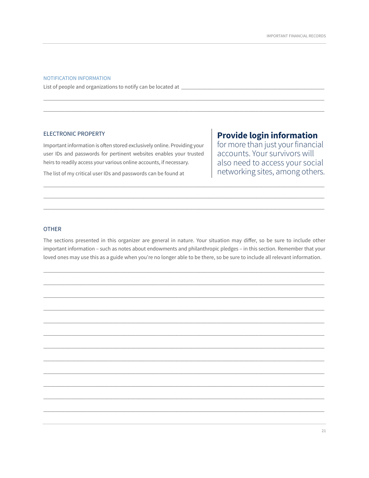#### NOTIFICATION INFORMATION

List of people and organizations to notify can be located at \_\_\_\_\_\_\_\_\_

#### **ELECTRONIC PROPERTY**

Important information is often stored exclusively online. Providing your user IDs and passwords for pertinent websites enables your trusted heirs to readily access your various online accounts, if necessary.

The list of my critical user IDs and passwords can be found at

# **Provide login information**

for more than just your financial accounts. Your survivors will also need to access your social networking sites, among others.

#### **OTHER**

The sections presented in this organizer are general in nature. Your situation may differ, so be sure to include other important information - such as notes about endowments and philanthropic pledges - in this section. Remember that your loved ones may use this as a guide when you're no longer able to be there, so be sure to include all relevant information.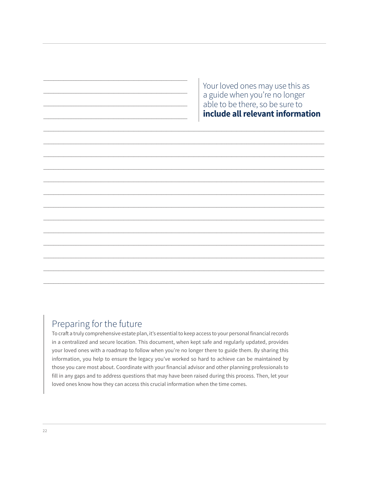Your loved ones may use this as a guide when you're no longer able to be there, so be sure to include all relevant information

# Preparing for the future

To craft a truly comprehensive estate plan, it's essential to keep access to your personal financial records in a centralized and secure location. This document, when kept safe and regularly updated, provides your loved ones with a roadmap to follow when you're no longer there to guide them. By sharing this information, you help to ensure the legacy you've worked so hard to achieve can be maintained by those you care most about. Coordinate with your financial advisor and other planning professionals to fill in any gaps and to address questions that may have been raised during this process. Then, let your loved ones know how they can access this crucial information when the time comes.